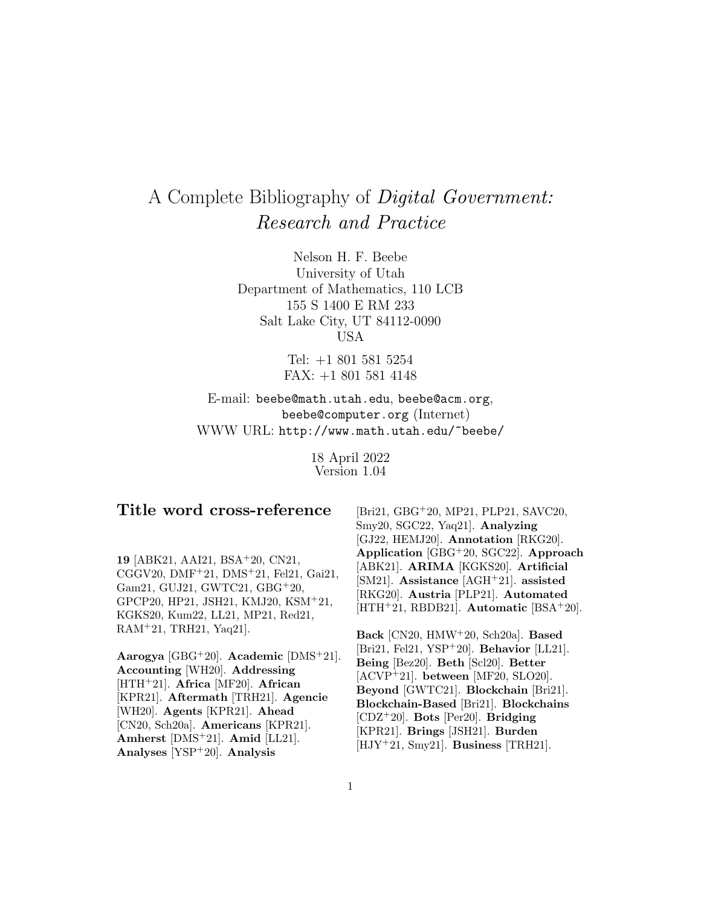# A Complete Bibliography of Digital Government: Research and Practice

Nelson H. F. Beebe University of Utah Department of Mathematics, 110 LCB 155 S 1400 E RM 233 Salt Lake City, UT 84112-0090 USA

> Tel: +1 801 581 5254 FAX: +1 801 581 4148

E-mail: beebe@math.utah.edu, beebe@acm.org, beebe@computer.org (Internet) WWW URL: http://www.math.utah.edu/~beebe/

> 18 April 2022 Version 1.04

# **Title word cross-reference**

**19** [ABK21, AAI21, BSA<sup>+</sup>20, CN21, CGGV20, DMF<sup>+</sup>21, DMS<sup>+</sup>21, Fel21, Gai21, Gam21, GUJ21, GWTC21, GBG<sup>+</sup>20, GPCP20, HP21, JSH21, KMJ20, KSM<sup>+</sup>21, KGKS20, Kum22, LL21, MP21, Red21, RAM<sup>+</sup>21, TRH21, Yaq21].

**Aarogya** [GBG<sup>+</sup>20]. **Academic** [DMS<sup>+</sup>21]. **Accounting** [WH20]. **Addressing** [HTH<sup>+</sup>21]. **Africa** [MF20]. **African** [KPR21]. **Aftermath** [TRH21]. **Agencie** [WH20]. **Agents** [KPR21]. **Ahead** [CN20, Sch20a]. **Americans** [KPR21]. **Amherst** [DMS<sup>+</sup>21]. **Amid** [LL21]. **Analyses** [YSP<sup>+</sup>20]. **Analysis**

[Bri21, GBG<sup>+</sup>20, MP21, PLP21, SAVC20, Smy20, SGC22, Yaq21]. **Analyzing** [GJ22, HEMJ20]. **Annotation** [RKG20]. **Application** [GBG<sup>+</sup>20, SGC22]. **Approach** [ABK21]. **ARIMA** [KGKS20]. **Artificial** [SM21]. **Assistance** [AGH<sup>+</sup>21]. **assisted** [RKG20]. **Austria** [PLP21]. **Automated** [HTH<sup>+</sup>21, RBDB21]. **Automatic** [BSA<sup>+</sup>20].

**Back** [CN20, HMW<sup>+</sup>20, Sch20a]. **Based** [Bri21, Fel21, YSP<sup>+</sup>20]. **Behavior** [LL21]. **Being** [Bez20]. **Beth** [Scl20]. **Better** [ACVP<sup>+</sup>21]. **between** [MF20, SLO20]. **Beyond** [GWTC21]. **Blockchain** [Bri21]. **Blockchain-Based** [Bri21]. **Blockchains** [CDZ<sup>+</sup>20]. **Bots** [Per20]. **Bridging** [KPR21]. **Brings** [JSH21]. **Burden** [HJY<sup>+</sup>21, Smy21]. **Business** [TRH21].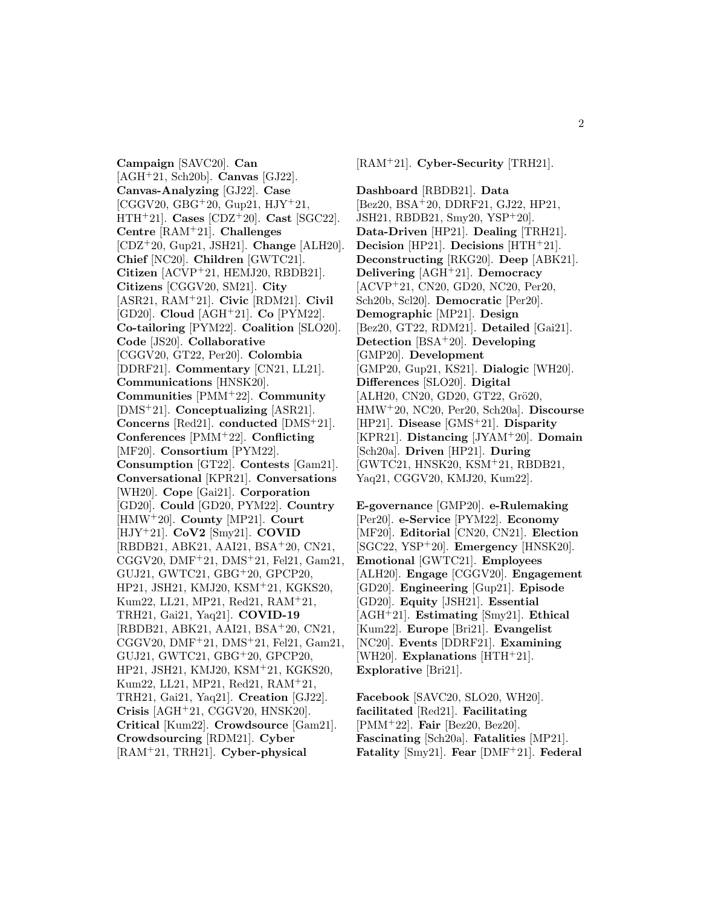**Campaign** [SAVC20]. **Can** [AGH<sup>+</sup>21, Sch20b]. **Canvas** [GJ22]. **Canvas-Analyzing** [GJ22]. **Case**  $[CGGV20, GBG<sup>+</sup>20, Gup21, HJY<sup>+</sup>21,$ HTH<sup>+</sup>21]. **Cases** [CDZ<sup>+</sup>20]. **Cast** [SGC22]. **Centre** [RAM<sup>+</sup>21]. **Challenges** [CDZ<sup>+</sup>20, Gup21, JSH21]. **Change** [ALH20]. **Chief** [NC20]. **Children** [GWTC21]. **Citizen** [ACVP<sup>+</sup>21, HEMJ20, RBDB21]. **Citizens** [CGGV20, SM21]. **City** [ASR21, RAM<sup>+</sup>21]. **Civic** [RDM21]. **Civil** [GD20]. **Cloud** [AGH<sup>+</sup>21]. **Co** [PYM22]. **Co-tailoring** [PYM22]. **Coalition** [SLO20]. **Code** [JS20]. **Collaborative** [CGGV20, GT22, Per20]. **Colombia** [DDRF21]. **Commentary** [CN21, LL21]. **Communications** [HNSK20]. **Communities** [PMM<sup>+</sup>22]. **Community** [DMS<sup>+</sup>21]. **Conceptualizing** [ASR21]. **Concerns** [Red21]. **conducted** [DMS<sup>+</sup>21]. **Conferences** [PMM<sup>+</sup>22]. **Conflicting** [MF20]. **Consortium** [PYM22]. **Consumption** [GT22]. **Contests** [Gam21]. **Conversational** [KPR21]. **Conversations** [WH20]. **Cope** [Gai21]. **Corporation** [GD20]. **Could** [GD20, PYM22]. **Country** [HMW<sup>+</sup>20]. **County** [MP21]. **Court** [HJY<sup>+</sup>21]. **CoV2** [Smy21]. **COVID** [RBDB21, ABK21, AAI21, BSA<sup>+</sup>20, CN21, CGGV20, DMF<sup>+</sup>21, DMS<sup>+</sup>21, Fel21, Gam21, GUJ21, GWTC21, GBG<sup>+</sup>20, GPCP20, HP21, JSH21, KMJ20, KSM<sup>+</sup>21, KGKS20, Kum22, LL21, MP21, Red21, RAM<sup>+</sup>21, TRH21, Gai21, Yaq21]. **COVID-19** [RBDB21, ABK21, AAI21, BSA<sup>+</sup>20, CN21, CGGV20, DMF<sup>+</sup>21, DMS<sup>+</sup>21, Fel21, Gam21, GUJ21, GWTC21, GBG<sup>+</sup>20, GPCP20, HP21, JSH21, KMJ20, KSM<sup>+</sup>21, KGKS20, Kum22, LL21, MP21, Red21, RAM<sup>+</sup>21, TRH21, Gai21, Yaq21]. **Creation** [GJ22]. **Crisis** [AGH<sup>+</sup>21, CGGV20, HNSK20]. **Critical** [Kum22]. **Crowdsource** [Gam21]. **Crowdsourcing** [RDM21]. **Cyber** [RAM<sup>+</sup>21, TRH21]. **Cyber-physical**

[RAM<sup>+</sup>21]. **Cyber-Security** [TRH21].

**Dashboard** [RBDB21]. **Data** [Bez20, BSA<sup>+</sup>20, DDRF21, GJ22, HP21, JSH21, RBDB21, Smy20, YSP<sup>+</sup>20]. **Data-Driven** [HP21]. **Dealing** [TRH21]. **Decision** [HP21]. **Decisions** [HTH<sup>+</sup>21]. **Deconstructing** [RKG20]. **Deep** [ABK21]. **Delivering** [AGH<sup>+</sup>21]. **Democracy** [ACVP<sup>+</sup>21, CN20, GD20, NC20, Per20, Sch20b, Scl20]. **Democratic** [Per20]. **Demographic** [MP21]. **Design** [Bez20, GT22, RDM21]. **Detailed** [Gai21]. **Detection** [BSA<sup>+</sup>20]. **Developing** [GMP20]. **Development** [GMP20, Gup21, KS21]. **Dialogic** [WH20]. **Differences** [SLO20]. **Digital** [ALH20, CN20, GD20, GT22, Grö20, HMW<sup>+</sup>20, NC20, Per20, Sch20a]. **Discourse** [HP21]. **Disease** [GMS<sup>+</sup>21]. **Disparity** [KPR21]. **Distancing** [JYAM<sup>+</sup>20]. **Domain** [Sch20a]. **Driven** [HP21]. **During** [GWTC21, HNSK20, KSM<sup>+</sup>21, RBDB21, Yaq21, CGGV20, KMJ20, Kum22].

**E-governance** [GMP20]. **e-Rulemaking** [Per20]. **e-Service** [PYM22]. **Economy** [MF20]. **Editorial** [CN20, CN21]. **Election** [SGC22, YSP<sup>+</sup>20]. **Emergency** [HNSK20]. **Emotional** [GWTC21]. **Employees** [ALH20]. **Engage** [CGGV20]. **Engagement** [GD20]. **Engineering** [Gup21]. **Episode** [GD20]. **Equity** [JSH21]. **Essential** [AGH<sup>+</sup>21]. **Estimating** [Smy21]. **Ethical** [Kum22]. **Europe** [Bri21]. **Evangelist** [NC20]. **Events** [DDRF21]. **Examining** [WH20]. **Explanations** [HTH<sup>+</sup>21]. **Explorative** [Bri21].

**Facebook** [SAVC20, SLO20, WH20]. **facilitated** [Red21]. **Facilitating** [PMM<sup>+</sup>22]. **Fair** [Bez20, Bez20]. **Fascinating** [Sch20a]. **Fatalities** [MP21]. **Fatality** [Smy21]. **Fear** [DMF<sup>+</sup>21]. **Federal**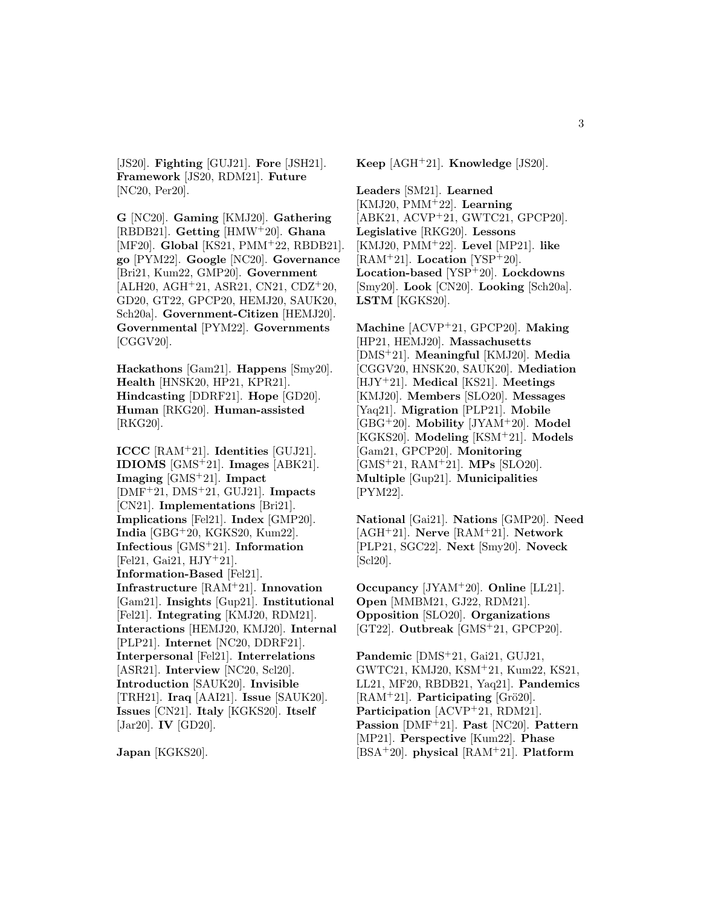[JS20]. **Fighting** [GUJ21]. **Fore** [JSH21]. **Framework** [JS20, RDM21]. **Future** [NC20, Per20].

**G** [NC20]. **Gaming** [KMJ20]. **Gathering** [RBDB21]. **Getting** [HMW<sup>+</sup>20]. **Ghana** [MF20]. **Global** [KS21, PMM<sup>+</sup>22, RBDB21]. **go** [PYM22]. **Google** [NC20]. **Governance** [Bri21, Kum22, GMP20]. **Government** [ALH20, AGH<sup>+</sup>21, ASR21, CN21, CDZ<sup>+</sup>20, GD20, GT22, GPCP20, HEMJ20, SAUK20, Sch20a]. **Government-Citizen** [HEMJ20]. **Governmental** [PYM22]. **Governments** [CGGV20].

**Hackathons** [Gam21]. **Happens** [Smy20]. **Health** [HNSK20, HP21, KPR21]. **Hindcasting** [DDRF21]. **Hope** [GD20]. **Human** [RKG20]. **Human-assisted** [RKG20].

**ICCC** [RAM<sup>+</sup>21]. **Identities** [GUJ21]. **IDIOMS** [GMS<sup>+</sup>21]. **Images** [ABK21]. **Imaging** [GMS<sup>+</sup>21]. **Impact** [DMF<sup>+</sup>21, DMS<sup>+</sup>21, GUJ21]. **Impacts** [CN21]. **Implementations** [Bri21]. **Implications** [Fel21]. **Index** [GMP20]. **India** [GBG<sup>+</sup>20, KGKS20, Kum22]. **Infectious** [GMS<sup>+</sup>21]. **Information** [Fel21, Gai21,  $HJY+21$ ]. **Information-Based** [Fel21]. **Infrastructure** [RAM<sup>+</sup>21]. **Innovation** [Gam21]. **Insights** [Gup21]. **Institutional** [Fel21]. **Integrating** [KMJ20, RDM21]. **Interactions** [HEMJ20, KMJ20]. **Internal** [PLP21]. **Internet** [NC20, DDRF21]. **Interpersonal** [Fel21]. **Interrelations** [ASR21]. **Interview** [NC20, Scl20]. **Introduction** [SAUK20]. **Invisible** [TRH21]. **Iraq** [AAI21]. **Issue** [SAUK20]. **Issues** [CN21]. **Italy** [KGKS20]. **Itself** [Jar20]. **IV** [GD20].

**Japan** [KGKS20].

**Keep** [AGH<sup>+</sup>21]. **Knowledge** [JS20].

**Leaders** [SM21]. **Learned** [KMJ20, PMM<sup>+</sup>22]. **Learning** [ABK21, ACVP<sup>+</sup>21, GWTC21, GPCP20]. **Legislative** [RKG20]. **Lessons** [KMJ20, PMM<sup>+</sup>22]. **Level** [MP21]. **like** [RAM<sup>+</sup>21]. **Location** [YSP<sup>+</sup>20]. **Location-based** [YSP<sup>+</sup>20]. **Lockdowns** [Smy20]. **Look** [CN20]. **Looking** [Sch20a]. **LSTM** [KGKS20].

**Machine** [ACVP<sup>+</sup>21, GPCP20]. **Making** [HP21, HEMJ20]. **Massachusetts** [DMS<sup>+</sup>21]. **Meaningful** [KMJ20]. **Media** [CGGV20, HNSK20, SAUK20]. **Mediation** [HJY<sup>+</sup>21]. **Medical** [KS21]. **Meetings** [KMJ20]. **Members** [SLO20]. **Messages** [Yaq21]. **Migration** [PLP21]. **Mobile** [GBG<sup>+</sup>20]. **Mobility** [JYAM<sup>+</sup>20]. **Model** [KGKS20]. **Modeling** [KSM<sup>+</sup>21]. **Models** [Gam21, GPCP20]. **Monitoring** [GMS<sup>+</sup>21, RAM<sup>+</sup>21]. **MPs** [SLO20]. **Multiple** [Gup21]. **Municipalities** [PYM22].

**National** [Gai21]. **Nations** [GMP20]. **Need** [AGH<sup>+</sup>21]. **Nerve** [RAM<sup>+</sup>21]. **Network** [PLP21, SGC22]. **Next** [Smy20]. **Noveck** [Scl20].

**Occupancy** [JYAM<sup>+</sup>20]. **Online** [LL21]. **Open** [MMBM21, GJ22, RDM21]. **Opposition** [SLO20]. **Organizations** [GT22]. **Outbreak** [GMS<sup>+</sup>21, GPCP20].

**Pandemic** [DMS<sup>+</sup>21, Gai21, GUJ21, GWTC21, KMJ20, KSM<sup>+</sup>21, Kum22, KS21, LL21, MF20, RBDB21, Yaq21]. **Pandemics**  $[RAM<sup>+</sup>21]$ . **Participating** [Grö20]. **Participation** [ACVP<sup>+</sup>21, RDM21]. **Passion** [DMF<sup>+</sup>21]. **Past** [NC20]. **Pattern** [MP21]. **Perspective** [Kum22]. **Phase** [BSA<sup>+</sup>20]. **physical** [RAM<sup>+</sup>21]. **Platform**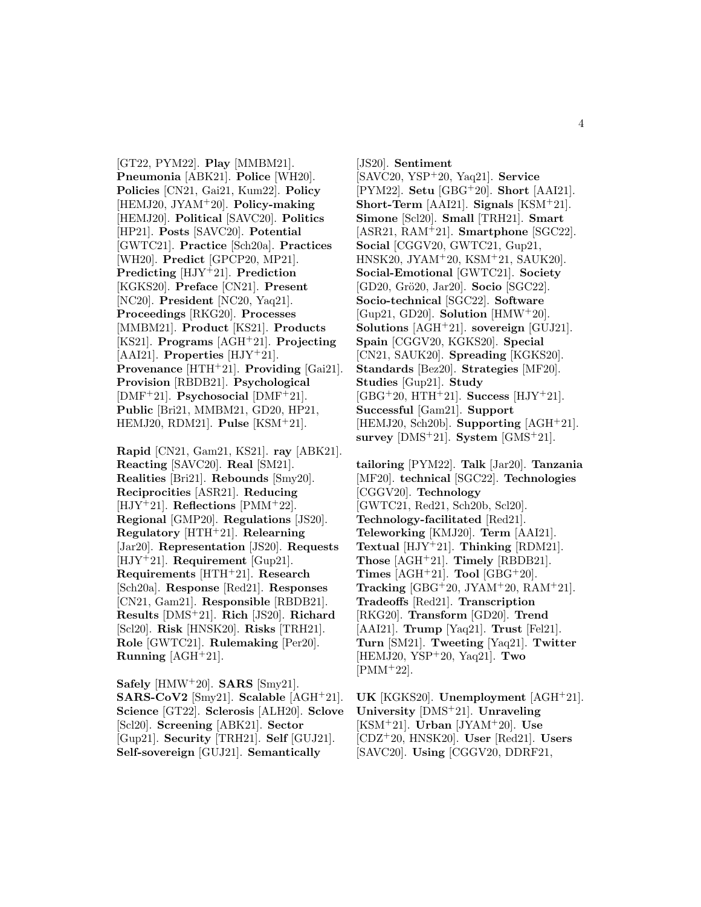[GT22, PYM22]. **Play** [MMBM21]. **Pneumonia** [ABK21]. **Police** [WH20]. **Policies** [CN21, Gai21, Kum22]. **Policy** [HEMJ20, JYAM<sup>+</sup>20]. **Policy-making** [HEMJ20]. **Political** [SAVC20]. **Politics** [HP21]. **Posts** [SAVC20]. **Potential** [GWTC21]. **Practice** [Sch20a]. **Practices** [WH20]. **Predict** [GPCP20, MP21]. **Predicting** [HJY<sup>+</sup>21]. **Prediction** [KGKS20]. **Preface** [CN21]. **Present** [NC20]. **President** [NC20, Yaq21]. **Proceedings** [RKG20]. **Processes** [MMBM21]. **Product** [KS21]. **Products** [KS21]. **Programs** [AGH<sup>+</sup>21]. **Projecting** [AAI21]. **Properties** [HJY<sup>+</sup>21]. **Provenance** [HTH<sup>+</sup>21]. **Providing** [Gai21]. **Provision** [RBDB21]. **Psychological** [DMF<sup>+</sup>21]. **Psychosocial** [DMF<sup>+</sup>21]. **Public** [Bri21, MMBM21, GD20, HP21, HEMJ20, RDM21]. **Pulse** [KSM<sup>+</sup>21].

**Rapid** [CN21, Gam21, KS21]. **ray** [ABK21]. **Reacting** [SAVC20]. **Real** [SM21]. **Realities** [Bri21]. **Rebounds** [Smy20]. **Reciprocities** [ASR21]. **Reducing** [HJY<sup>+</sup>21]. **Reflections** [PMM<sup>+</sup>22]. **Regional** [GMP20]. **Regulations** [JS20]. **Regulatory** [HTH<sup>+</sup>21]. **Relearning** [Jar20]. **Representation** [JS20]. **Requests** [HJY<sup>+</sup>21]. **Requirement** [Gup21]. **Requirements** [HTH<sup>+</sup>21]. **Research** [Sch20a]. **Response** [Red21]. **Responses** [CN21, Gam21]. **Responsible** [RBDB21]. **Results** [DMS<sup>+</sup>21]. **Rich** [JS20]. **Richard** [Scl20]. **Risk** [HNSK20]. **Risks** [TRH21]. **Role** [GWTC21]. **Rulemaking** [Per20]. **Running** [AGH<sup>+</sup>21].

**Safely** [HMW<sup>+</sup>20]. **SARS** [Smy21]. **SARS-CoV2** [Smy21]. **Scalable** [AGH<sup>+</sup>21]. **Science** [GT22]. **Sclerosis** [ALH20]. **Sclove** [Scl20]. **Screening** [ABK21]. **Sector** [Gup21]. **Security** [TRH21]. **Self** [GUJ21]. **Self-sovereign** [GUJ21]. **Semantically**

[JS20]. **Sentiment** [SAVC20, YSP<sup>+</sup>20, Yaq21]. **Service** [PYM22]. **Setu** [GBG<sup>+</sup>20]. **Short** [AAI21]. **Short-Term** [AAI21]. **Signals** [KSM<sup>+</sup>21]. **Simone** [Scl20]. **Small** [TRH21]. **Smart** [ASR21, RAM<sup>+</sup>21]. **Smartphone** [SGC22]. **Social** [CGGV20, GWTC21, Gup21, HNSK20, JYAM<sup>+</sup>20, KSM<sup>+</sup>21, SAUK20]. **Social-Emotional** [GWTC21]. **Society** [GD20, Grö20, Jar20]. **Socio** [SGC22]. **Socio-technical** [SGC22]. **Software** [Gup21, GD20]. **Solution** [HMW<sup>+</sup>20]. **Solutions** [AGH<sup>+</sup>21]. **sovereign** [GUJ21]. **Spain** [CGGV20, KGKS20]. **Special** [CN21, SAUK20]. **Spreading** [KGKS20]. **Standards** [Bez20]. **Strategies** [MF20]. **Studies** [Gup21]. **Study** [GBG<sup>+</sup>20, HTH<sup>+</sup>21]. **Success** [HJY<sup>+</sup>21]. **Successful** [Gam21]. **Support** [HEMJ20, Sch20b]. **Supporting** [AGH<sup>+</sup>21]. **survey** [DMS<sup>+</sup>21]. **System** [GMS<sup>+</sup>21].

**tailoring** [PYM22]. **Talk** [Jar20]. **Tanzania** [MF20]. **technical** [SGC22]. **Technologies** [CGGV20]. **Technology** [GWTC21, Red21, Sch20b, Scl20]. **Technology-facilitated** [Red21]. **Teleworking** [KMJ20]. **Term** [AAI21]. **Textual** [HJY<sup>+</sup>21]. **Thinking** [RDM21]. **Those** [AGH<sup>+</sup>21]. **Timely** [RBDB21]. **Times**  $[AGH^+21]$ . **Tool**  $[GBG^+20]$ . **Tracking** [GBG<sup>+</sup>20, JYAM<sup>+</sup>20, RAM<sup>+</sup>21]. **Tradeoffs** [Red21]. **Transcription** [RKG20]. **Transform** [GD20]. **Trend** [AAI21]. **Trump** [Yaq21]. **Trust** [Fel21]. **Turn** [SM21]. **Tweeting** [Yaq21]. **Twitter** [HEMJ20, YSP<sup>+</sup>20, Yaq21]. **Two**  $[PMM+22]$ .

**UK** [KGKS20]. **Unemployment** [AGH<sup>+</sup>21]. **University** [DMS<sup>+</sup>21]. **Unraveling** [KSM<sup>+</sup>21]. **Urban** [JYAM<sup>+</sup>20]. **Use** [CDZ<sup>+</sup>20, HNSK20]. **User** [Red21]. **Users** [SAVC20]. **Using** [CGGV20, DDRF21,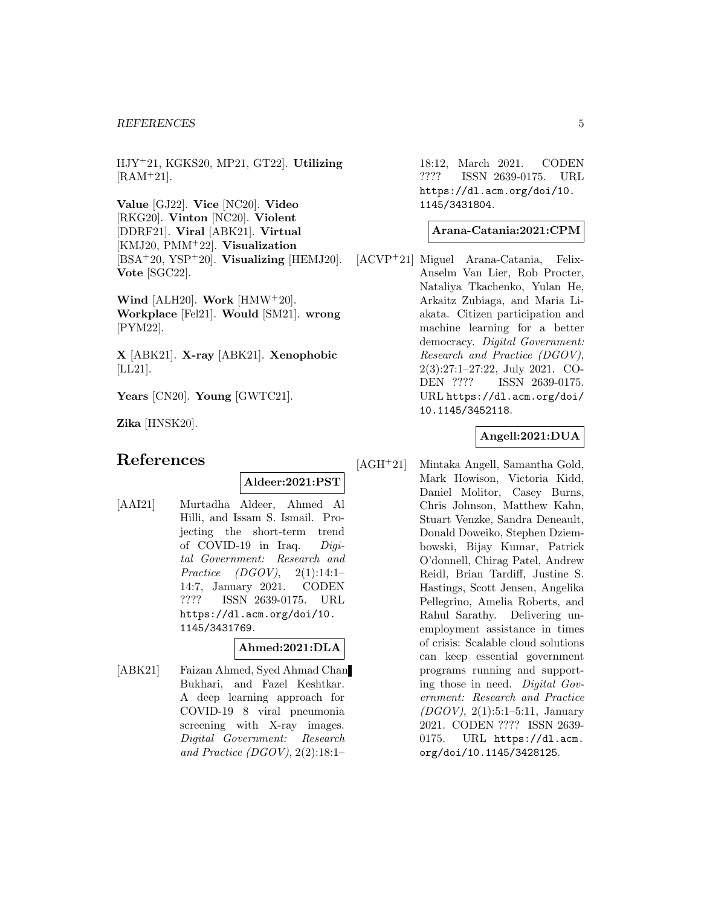#### *REFERENCES* 5

HJY<sup>+</sup>21, KGKS20, MP21, GT22]. **Utilizing**  $[RAM<sup>+</sup>21]$ .

**Value** [GJ22]. **Vice** [NC20]. **Video** [RKG20]. **Vinton** [NC20]. **Violent** [DDRF21]. **Viral** [ABK21]. **Virtual** [KMJ20, PMM<sup>+</sup>22]. **Visualization** [BSA<sup>+</sup>20, YSP<sup>+</sup>20]. **Visualizing** [HEMJ20]. **Vote** [SGC22].

**Wind** [ALH20]. **Work** [HMW<sup>+</sup>20]. **Workplace** [Fel21]. **Would** [SM21]. **wrong** [PYM22].

**X** [ABK21]. **X-ray** [ABK21]. **Xenophobic** [LL21].

**Years** [CN20]. **Young** [GWTC21].

**Zika** [HNSK20].

# **References**

**Aldeer:2021:PST**

[AAI21] Murtadha Aldeer, Ahmed Al Hilli, and Issam S. Ismail. Projecting the short-term trend of COVID-19 in Iraq. Digital Government: Research and Practice (DGOV), 2(1):14:1– 14:7, January 2021. CODEN ???? ISSN 2639-0175. URL https://dl.acm.org/doi/10. 1145/3431769.

#### **Ahmed:2021:DLA**

[ABK21] Faizan Ahmed, Syed Ahmad Chan Bukhari, and Fazel Keshtkar. A deep learning approach for COVID-19 8 viral pneumonia screening with X-ray images. Digital Government: Research and Practice (DGOV),  $2(2):18:1-$ 

18:12, March 2021. CODEN ???? ISSN 2639-0175. URL https://dl.acm.org/doi/10. 1145/3431804.

#### **Arana-Catania:2021:CPM**

[ACVP<sup>+</sup>21] Miguel Arana-Catania, Felix-Anselm Van Lier, Rob Procter, Nataliya Tkachenko, Yulan He, Arkaitz Zubiaga, and Maria Liakata. Citizen participation and machine learning for a better democracy. Digital Government: Research and Practice (DGOV), 2(3):27:1–27:22, July 2021. CO-DEN ???? ISSN 2639-0175. URL https://dl.acm.org/doi/ 10.1145/3452118.

## **Angell:2021:DUA**

[AGH<sup>+</sup>21] Mintaka Angell, Samantha Gold, Mark Howison, Victoria Kidd, Daniel Molitor, Casey Burns, Chris Johnson, Matthew Kahn, Stuart Venzke, Sandra Deneault, Donald Doweiko, Stephen Dziembowski, Bijay Kumar, Patrick O'donnell, Chirag Patel, Andrew Reidl, Brian Tardiff, Justine S. Hastings, Scott Jensen, Angelika Pellegrino, Amelia Roberts, and Rahul Sarathy. Delivering unemployment assistance in times of crisis: Scalable cloud solutions can keep essential government programs running and supporting those in need. Digital Government: Research and Practice (DGOV), 2(1):5:1–5:11, January 2021. CODEN ???? ISSN 2639- 0175. URL https://dl.acm. org/doi/10.1145/3428125.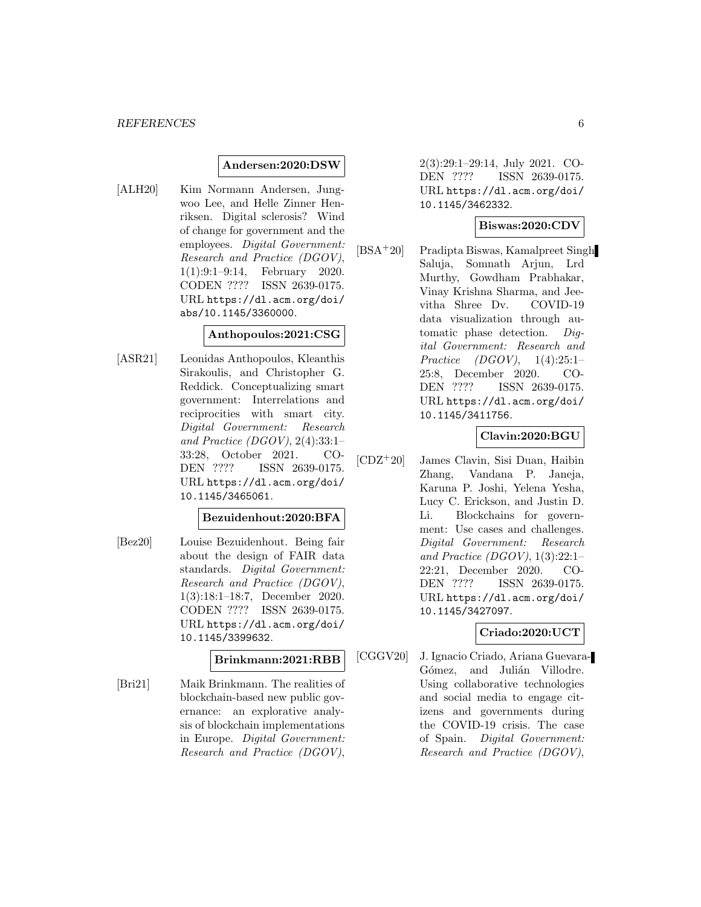#### **Andersen:2020:DSW**

[ALH20] Kim Normann Andersen, Jungwoo Lee, and Helle Zinner Henriksen. Digital sclerosis? Wind of change for government and the employees. Digital Government: Research and Practice (DGOV), 1(1):9:1–9:14, February 2020. CODEN ???? ISSN 2639-0175. URL https://dl.acm.org/doi/ abs/10.1145/3360000.

#### **Anthopoulos:2021:CSG**

[ASR21] Leonidas Anthopoulos, Kleanthis Sirakoulis, and Christopher G. Reddick. Conceptualizing smart government: Interrelations and reciprocities with smart city. Digital Government: Research and Practice (DGOV),  $2(4):33:1-$ 33:28, October 2021. CO-DEN ???? ISSN 2639-0175. URL https://dl.acm.org/doi/ 10.1145/3465061.

#### **Bezuidenhout:2020:BFA**

[Bez20] Louise Bezuidenhout. Being fair about the design of FAIR data standards. Digital Government: Research and Practice (DGOV), 1(3):18:1–18:7, December 2020. CODEN ???? ISSN 2639-0175. URL https://dl.acm.org/doi/ 10.1145/3399632.

#### **Brinkmann:2021:RBB**

[Bri21] Maik Brinkmann. The realities of blockchain-based new public governance: an explorative analysis of blockchain implementations in Europe. Digital Government: Research and Practice (DGOV),

2(3):29:1–29:14, July 2021. CO-DEN ???? ISSN 2639-0175. URL https://dl.acm.org/doi/ 10.1145/3462332.

## **Biswas:2020:CDV**

[BSA<sup>+</sup>20] Pradipta Biswas, Kamalpreet Singh Saluja, Somnath Arjun, Lrd Murthy, Gowdham Prabhakar, Vinay Krishna Sharma, and Jeevitha Shree Dv. COVID-19 data visualization through automatic phase detection. Digital Government: Research and Practice (DGOV), 1(4):25:1– 25:8, December 2020. CO-DEN ???? ISSN 2639-0175. URL https://dl.acm.org/doi/ 10.1145/3411756.

## **Clavin:2020:BGU**

[CDZ<sup>+</sup>20] James Clavin, Sisi Duan, Haibin Zhang, Vandana P. Janeja, Karuna P. Joshi, Yelena Yesha, Lucy C. Erickson, and Justin D. Li. Blockchains for government: Use cases and challenges. Digital Government: Research and Practice (DGOV),  $1(3):22:1-$ 22:21, December 2020. CO-DEN ???? ISSN 2639-0175. URL https://dl.acm.org/doi/ 10.1145/3427097.

## **Criado:2020:UCT**

[CGGV20] J. Ignacio Criado, Ariana Guevara-Gómez, and Julián Villodre. Using collaborative technologies and social media to engage citizens and governments during the COVID-19 crisis. The case of Spain. Digital Government: Research and Practice (DGOV),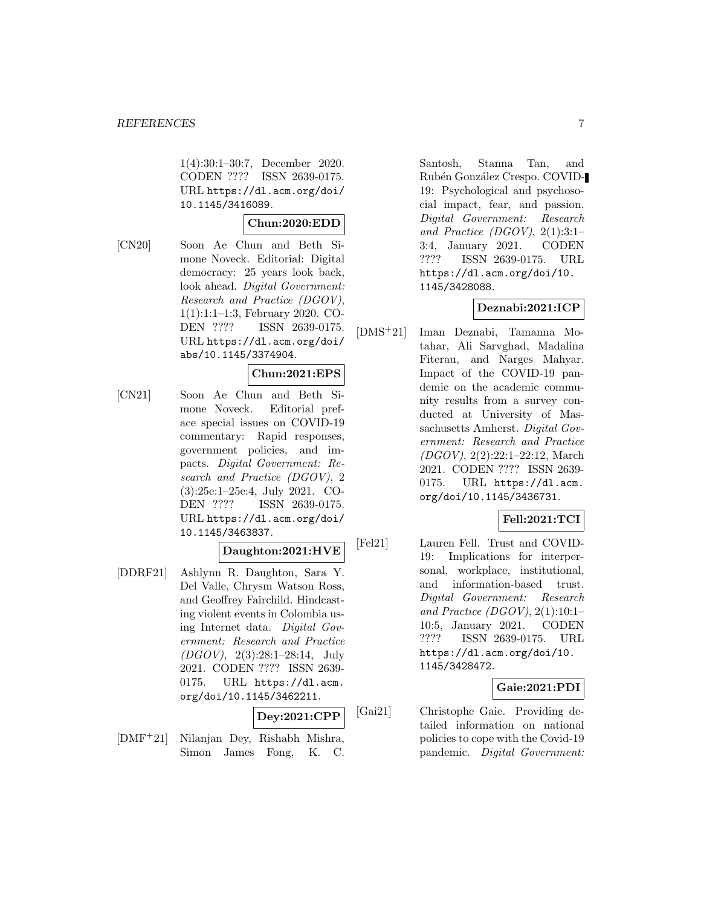1(4):30:1–30:7, December 2020. CODEN ???? ISSN 2639-0175. URL https://dl.acm.org/doi/ 10.1145/3416089.

#### **Chun:2020:EDD**

[CN20] Soon Ae Chun and Beth Simone Noveck. Editorial: Digital democracy: 25 years look back, look ahead. *Digital Government*: Research and Practice (DGOV), 1(1):1:1–1:3, February 2020. CO-DEN ???? ISSN 2639-0175. URL https://dl.acm.org/doi/ abs/10.1145/3374904.

#### **Chun:2021:EPS**

[CN21] Soon Ae Chun and Beth Simone Noveck. Editorial preface special issues on COVID-19 commentary: Rapid responses, government policies, and impacts. Digital Government: Research and Practice (DGOV), 2 (3):25e:1–25e:4, July 2021. CO-DEN ???? ISSN 2639-0175. URL https://dl.acm.org/doi/ 10.1145/3463837.

## **Daughton:2021:HVE**

[DDRF21] Ashlynn R. Daughton, Sara Y. Del Valle, Chrysm Watson Ross, and Geoffrey Fairchild. Hindcasting violent events in Colombia using Internet data. Digital Government: Research and Practice (DGOV), 2(3):28:1–28:14, July 2021. CODEN ???? ISSN 2639- 0175. URL https://dl.acm. org/doi/10.1145/3462211.

## **Dey:2021:CPP**

[DMF<sup>+</sup>21] Nilanjan Dey, Rishabh Mishra, Simon James Fong, K. C.

Santosh, Stanna Tan, and Rubén González Crespo. COVID-19: Psychological and psychosocial impact, fear, and passion. Digital Government: Research and Practice (DGOV),  $2(1):3:1-$ 3:4, January 2021. CODEN ???? ISSN 2639-0175. URL https://dl.acm.org/doi/10. 1145/3428088.

#### **Deznabi:2021:ICP**

[DMS<sup>+</sup>21] Iman Deznabi, Tamanna Motahar, Ali Sarvghad, Madalina Fiterau, and Narges Mahyar. Impact of the COVID-19 pandemic on the academic community results from a survey conducted at University of Massachusetts Amherst. Digital Government: Research and Practice (DGOV), 2(2):22:1–22:12, March 2021. CODEN ???? ISSN 2639- 0175. URL https://dl.acm. org/doi/10.1145/3436731.

#### **Fell:2021:TCI**

[Fel21] Lauren Fell. Trust and COVID-19: Implications for interpersonal, workplace, institutional, and information-based trust. Digital Government: Research and Practice (DGOV),  $2(1):10:1-$ 10:5, January 2021. CODEN ???? ISSN 2639-0175. URL https://dl.acm.org/doi/10. 1145/3428472.

## **Gaie:2021:PDI**

[Gai21] Christophe Gaie. Providing detailed information on national policies to cope with the Covid-19 pandemic. Digital Government: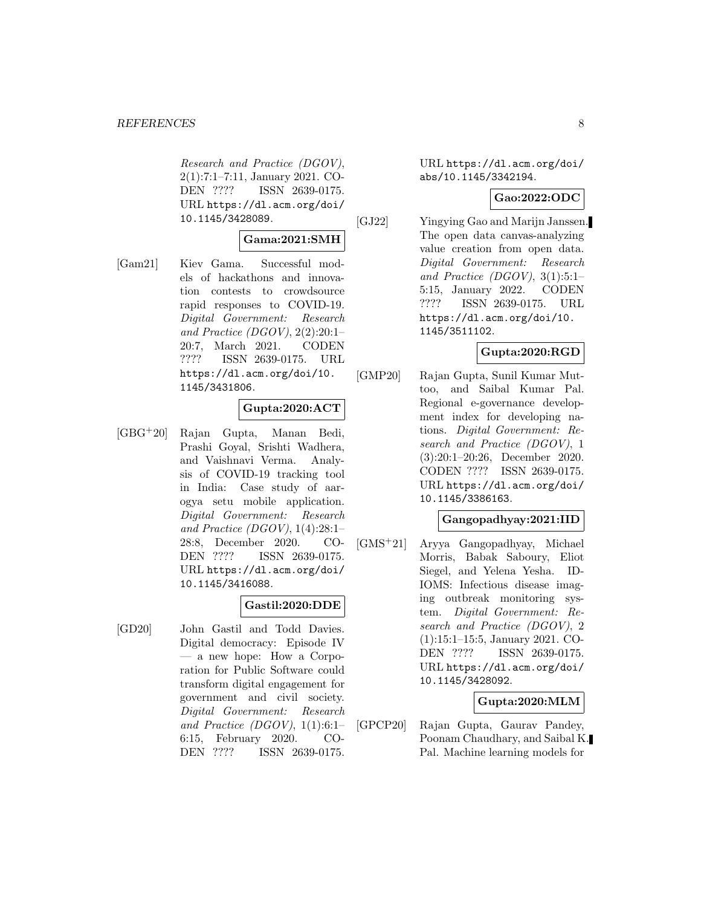Research and Practice (DGOV), 2(1):7:1–7:11, January 2021. CO-DEN ???? ISSN 2639-0175. URL https://dl.acm.org/doi/ 10.1145/3428089.

#### **Gama:2021:SMH**

[Gam21] Kiev Gama. Successful models of hackathons and innovation contests to crowdsource rapid responses to COVID-19. Digital Government: Research and Practice (DGOV),  $2(2):20:1-$ 20:7, March 2021. CODEN ???? ISSN 2639-0175. URL https://dl.acm.org/doi/10. 1145/3431806.

## **Gupta:2020:ACT**

[GBG<sup>+</sup>20] Rajan Gupta, Manan Bedi, Prashi Goyal, Srishti Wadhera, and Vaishnavi Verma. Analysis of COVID-19 tracking tool in India: Case study of aarogya setu mobile application. Digital Government: Research and Practice (DGOV),  $1(4):28:1-$ 28:8, December 2020. CO-DEN ???? ISSN 2639-0175. URL https://dl.acm.org/doi/ 10.1145/3416088.

## **Gastil:2020:DDE**

[GD20] John Gastil and Todd Davies. Digital democracy: Episode IV — a new hope: How a Corporation for Public Software could transform digital engagement for government and civil society. Digital Government: Research and Practice (DGOV),  $1(1):6:1-$ 6:15, February 2020. CO-DEN ???? ISSN 2639-0175.

URL https://dl.acm.org/doi/ abs/10.1145/3342194.

## **Gao:2022:ODC**

[GJ22] Yingying Gao and Marijn Janssen. The open data canvas-analyzing value creation from open data. Digital Government: Research and Practice (DGOV),  $3(1):5:1-$ 5:15, January 2022. CODEN ???? ISSN 2639-0175. URL https://dl.acm.org/doi/10. 1145/3511102.

# **Gupta:2020:RGD**

[GMP20] Rajan Gupta, Sunil Kumar Muttoo, and Saibal Kumar Pal. Regional e-governance development index for developing nations. Digital Government: Research and Practice (DGOV), 1 (3):20:1–20:26, December 2020. CODEN ???? ISSN 2639-0175. URL https://dl.acm.org/doi/ 10.1145/3386163.

## **Gangopadhyay:2021:IID**

[GMS<sup>+</sup>21] Aryya Gangopadhyay, Michael Morris, Babak Saboury, Eliot Siegel, and Yelena Yesha. ID-IOMS: Infectious disease imaging outbreak monitoring system. Digital Government: Research and Practice (DGOV), 2 (1):15:1–15:5, January 2021. CO-DEN ???? ISSN 2639-0175. URL https://dl.acm.org/doi/ 10.1145/3428092.

#### **Gupta:2020:MLM**

[GPCP20] Rajan Gupta, Gaurav Pandey, Poonam Chaudhary, and Saibal K. Pal. Machine learning models for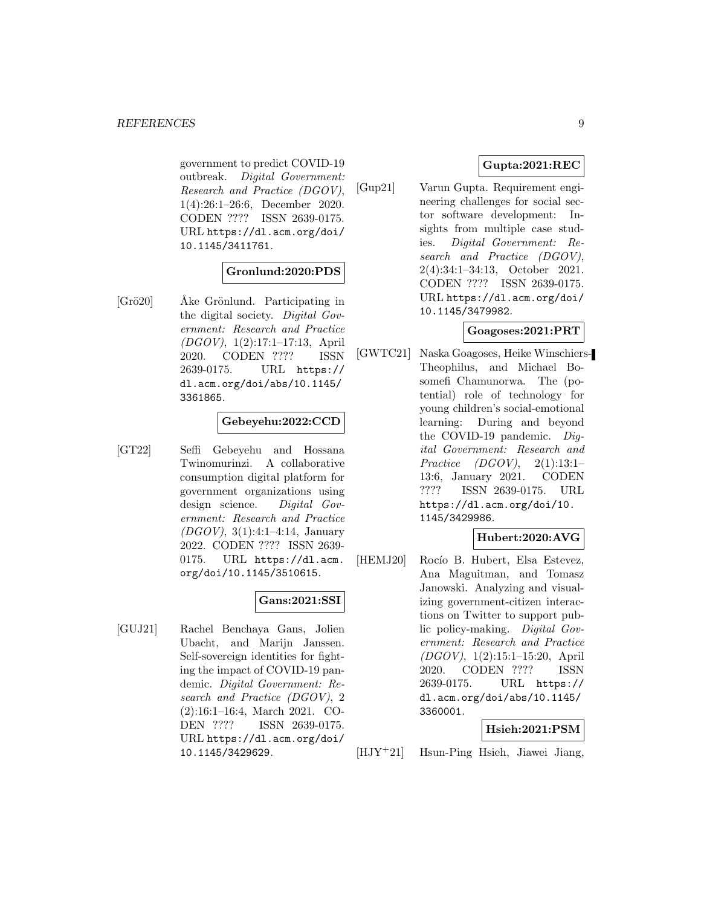government to predict COVID-19 outbreak. Digital Government: Research and Practice (DGOV), 1(4):26:1–26:6, December 2020. CODEN ???? ISSN 2639-0175. URL https://dl.acm.org/doi/ 10.1145/3411761.

## **Gronlund:2020:PDS**

 $[Gr\ddot{o}20]$  Åke Grönlund. Participating in the digital society. Digital Government: Research and Practice (DGOV), 1(2):17:1–17:13, April 2020. CODEN ???? ISSN 2639-0175. URL https:// dl.acm.org/doi/abs/10.1145/ 3361865.

## **Gebeyehu:2022:CCD**

[GT22] Seffi Gebeyehu and Hossana Twinomurinzi. A collaborative consumption digital platform for government organizations using design science. Digital Government: Research and Practice (DGOV), 3(1):4:1–4:14, January 2022. CODEN ???? ISSN 2639- 0175. URL https://dl.acm. org/doi/10.1145/3510615.

# **Gans:2021:SSI**

[GUJ21] Rachel Benchaya Gans, Jolien Ubacht, and Marijn Janssen. Self-sovereign identities for fighting the impact of COVID-19 pandemic. Digital Government: Research and Practice (DGOV), 2 (2):16:1–16:4, March 2021. CO-DEN ???? ISSN 2639-0175. URL https://dl.acm.org/doi/ 10.1145/3429629.

# **Gupta:2021:REC**

[Gup21] Varun Gupta. Requirement engineering challenges for social sector software development: Insights from multiple case studies. Digital Government: Research and Practice (DGOV), 2(4):34:1–34:13, October 2021. CODEN ???? ISSN 2639-0175. URL https://dl.acm.org/doi/ 10.1145/3479982.

## **Goagoses:2021:PRT**

[GWTC21] Naska Goagoses, Heike Winschiers-Theophilus, and Michael Bosomefi Chamunorwa. The (potential) role of technology for young children's social-emotional learning: During and beyond the COVID-19 pandemic. Digital Government: Research and Practice (DGOV), 2(1):13:1– 13:6, January 2021. CODEN ???? ISSN 2639-0175. URL https://dl.acm.org/doi/10. 1145/3429986.

## **Hubert:2020:AVG**

[HEMJ20] Rocío B. Hubert, Elsa Estevez, Ana Maguitman, and Tomasz Janowski. Analyzing and visualizing government-citizen interactions on Twitter to support public policy-making. Digital Government: Research and Practice (DGOV), 1(2):15:1–15:20, April 2020. CODEN ???? ISSN 2639-0175. URL https:// dl.acm.org/doi/abs/10.1145/ 3360001.

#### **Hsieh:2021:PSM**

[HJY<sup>+</sup>21] Hsun-Ping Hsieh, Jiawei Jiang,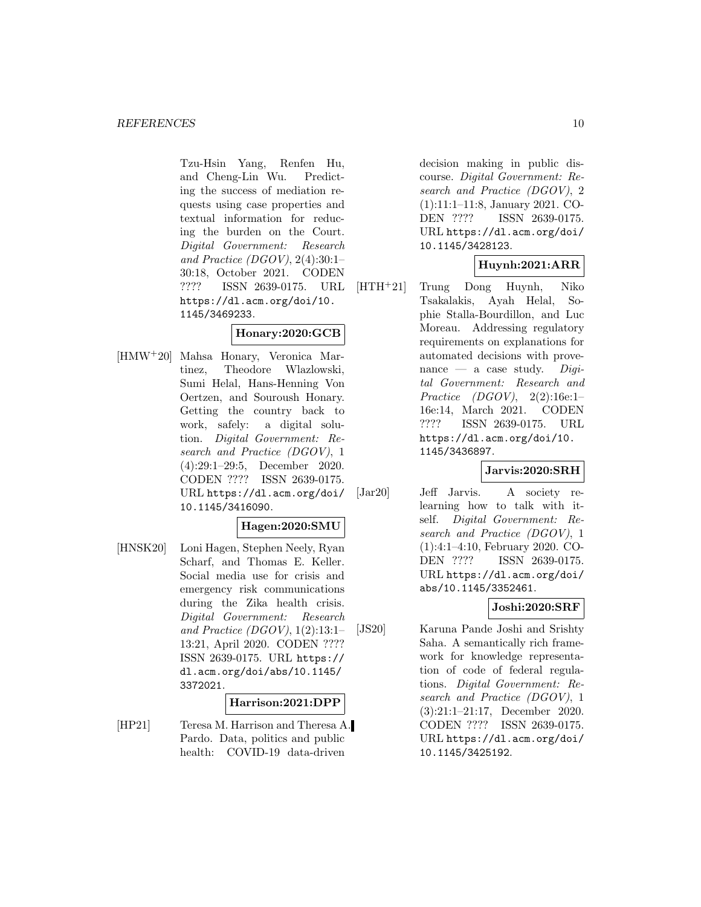Tzu-Hsin Yang, Renfen Hu, and Cheng-Lin Wu. Predicting the success of mediation requests using case properties and textual information for reducing the burden on the Court. Digital Government: Research and Practice (DGOV),  $2(4):30:1-$ 30:18, October 2021. CODEN ???? ISSN 2639-0175. URL https://dl.acm.org/doi/10. 1145/3469233.

## **Honary:2020:GCB**

[HMW<sup>+</sup>20] Mahsa Honary, Veronica Martinez, Theodore Wlazlowski, Sumi Helal, Hans-Henning Von Oertzen, and Souroush Honary. Getting the country back to work, safely: a digital solution. Digital Government: Research and Practice (DGOV), 1 (4):29:1–29:5, December 2020. CODEN ???? ISSN 2639-0175. URL https://dl.acm.org/doi/ 10.1145/3416090.

#### **Hagen:2020:SMU**

[HNSK20] Loni Hagen, Stephen Neely, Ryan Scharf, and Thomas E. Keller. Social media use for crisis and emergency risk communications during the Zika health crisis. Digital Government: Research and Practice (DGOV), 1(2):13:1– 13:21, April 2020. CODEN ???? ISSN 2639-0175. URL https:// dl.acm.org/doi/abs/10.1145/ 3372021.

#### **Harrison:2021:DPP**

[HP21] Teresa M. Harrison and Theresa A. Pardo. Data, politics and public health: COVID-19 data-driven

decision making in public discourse. Digital Government: Research and Practice (DGOV), 2 (1):11:1–11:8, January 2021. CO-DEN ???? ISSN 2639-0175. URL https://dl.acm.org/doi/ 10.1145/3428123.

# **Huynh:2021:ARR**

[HTH<sup>+</sup>21] Trung Dong Huynh, Niko Tsakalakis, Ayah Helal, Sophie Stalla-Bourdillon, and Luc Moreau. Addressing regulatory requirements on explanations for automated decisions with provenance — a case study.  $Diai$ tal Government: Research and Practice (DGOV), 2(2):16e:1– 16e:14, March 2021. CODEN ???? ISSN 2639-0175. URL https://dl.acm.org/doi/10. 1145/3436897.

#### **Jarvis:2020:SRH**

[Jar20] Jeff Jarvis. A society relearning how to talk with itself. Digital Government: Research and Practice (DGOV), 1 (1):4:1–4:10, February 2020. CO-DEN ???? ISSN 2639-0175. URL https://dl.acm.org/doi/ abs/10.1145/3352461.

## **Joshi:2020:SRF**

[JS20] Karuna Pande Joshi and Srishty Saha. A semantically rich framework for knowledge representation of code of federal regulations. Digital Government: Research and Practice (DGOV), 1 (3):21:1–21:17, December 2020. CODEN ???? ISSN 2639-0175. URL https://dl.acm.org/doi/ 10.1145/3425192.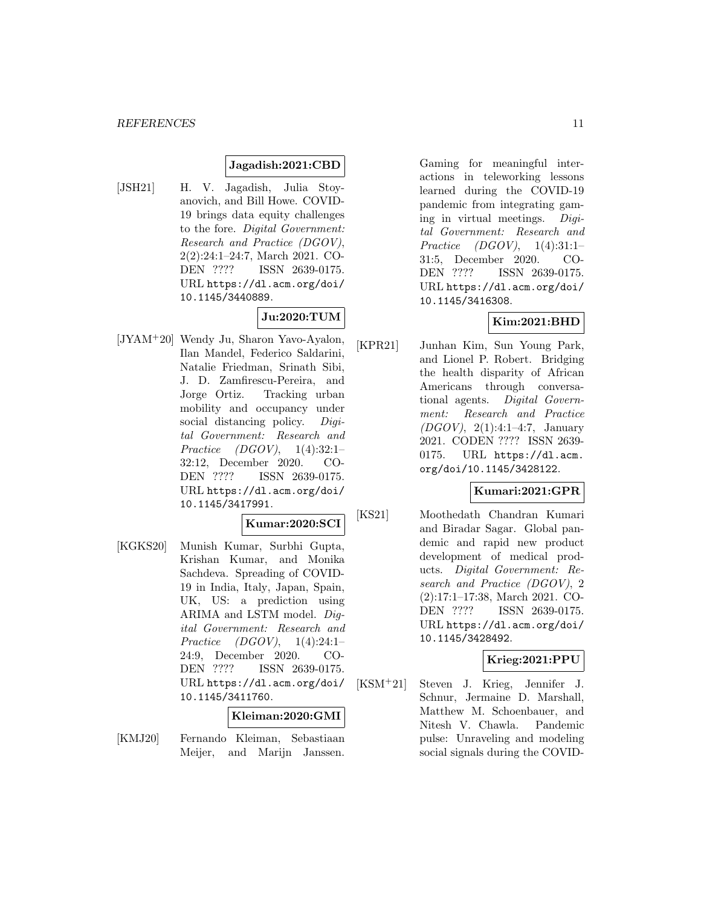#### **Jagadish:2021:CBD**

[JSH21] H. V. Jagadish, Julia Stoyanovich, and Bill Howe. COVID-19 brings data equity challenges to the fore. Digital Government: Research and Practice (DGOV), 2(2):24:1–24:7, March 2021. CO-DEN ???? ISSN 2639-0175. URL https://dl.acm.org/doi/ 10.1145/3440889.

# **Ju:2020:TUM**

[JYAM<sup>+</sup>20] Wendy Ju, Sharon Yavo-Ayalon, Ilan Mandel, Federico Saldarini, Natalie Friedman, Srinath Sibi, J. D. Zamfirescu-Pereira, and Jorge Ortiz. Tracking urban mobility and occupancy under social distancing policy. Digital Government: Research and Practice (DGOV), 1(4):32:1– 32:12, December 2020. CO-DEN ???? ISSN 2639-0175. URL https://dl.acm.org/doi/ 10.1145/3417991.

$$
\text{Kumar:} 2020{:}\mathrm{SCI}|
$$

[KGKS20] Munish Kumar, Surbhi Gupta, Krishan Kumar, and Monika Sachdeva. Spreading of COVID-19 in India, Italy, Japan, Spain, UK, US: a prediction using ARIMA and LSTM model. Digital Government: Research and Practice (DGOV), 1(4):24:1– 24:9, December 2020. CO-DEN ???? ISSN 2639-0175. URL https://dl.acm.org/doi/ 10.1145/3411760.

#### **Kleiman:2020:GMI**

[KMJ20] Fernando Kleiman, Sebastiaan Meijer, and Marijn Janssen.

Gaming for meaningful interactions in teleworking lessons learned during the COVID-19 pandemic from integrating gaming in virtual meetings. Digital Government: Research and Practice (DGOV), 1(4):31:1– 31:5, December 2020. CO-DEN ???? ISSN 2639-0175. URL https://dl.acm.org/doi/ 10.1145/3416308.

# **Kim:2021:BHD**

[KPR21] Junhan Kim, Sun Young Park, and Lionel P. Robert. Bridging the health disparity of African Americans through conversational agents. Digital Government: Research and Practice (DGOV), 2(1):4:1–4:7, January 2021. CODEN ???? ISSN 2639- 0175. URL https://dl.acm. org/doi/10.1145/3428122.

## **Kumari:2021:GPR**

[KS21] Moothedath Chandran Kumari and Biradar Sagar. Global pandemic and rapid new product development of medical products. Digital Government: Research and Practice (DGOV), 2 (2):17:1–17:38, March 2021. CO-DEN ???? ISSN 2639-0175. URL https://dl.acm.org/doi/ 10.1145/3428492.

## **Krieg:2021:PPU**

[KSM<sup>+</sup>21] Steven J. Krieg, Jennifer J. Schnur, Jermaine D. Marshall, Matthew M. Schoenbauer, and Nitesh V. Chawla. Pandemic pulse: Unraveling and modeling social signals during the COVID-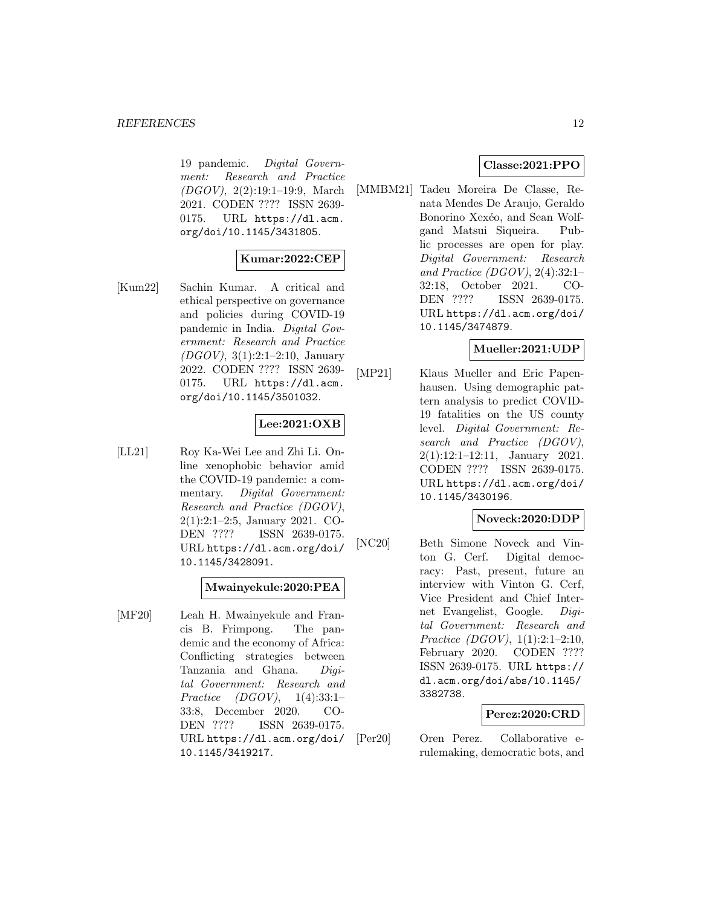19 pandemic. Digital Government: Research and Practice (DGOV), 2(2):19:1–19:9, March 2021. CODEN ???? ISSN 2639- 0175. URL https://dl.acm. org/doi/10.1145/3431805.

# **Kumar:2022:CEP**

[Kum22] Sachin Kumar. A critical and ethical perspective on governance and policies during COVID-19 pandemic in India. Digital Government: Research and Practice (DGOV), 3(1):2:1–2:10, January 2022. CODEN ???? ISSN 2639- 0175. URL https://dl.acm. org/doi/10.1145/3501032.

# **Lee:2021:OXB**

[LL21] Roy Ka-Wei Lee and Zhi Li. Online xenophobic behavior amid the COVID-19 pandemic: a commentary. Digital Government: Research and Practice (DGOV), 2(1):2:1–2:5, January 2021. CO-DEN ???? ISSN 2639-0175. URL https://dl.acm.org/doi/ 10.1145/3428091.

**Mwainyekule:2020:PEA**

[MF20] Leah H. Mwainyekule and Francis B. Frimpong. The pandemic and the economy of Africa: Conflicting strategies between Tanzania and Ghana. Digital Government: Research and Practice (DGOV), 1(4):33:1– 33:8, December 2020. CO-DEN ???? ISSN 2639-0175. URL https://dl.acm.org/doi/ 10.1145/3419217.

## **Classe:2021:PPO**

[MMBM21] Tadeu Moreira De Classe, Renata Mendes De Araujo, Geraldo Bonorino Xexéo, and Sean Wolfgand Matsui Siqueira. Public processes are open for play. Digital Government: Research and Practice (DGOV), 2(4):32:1– 32:18, October 2021. CO-DEN ???? ISSN 2639-0175. URL https://dl.acm.org/doi/ 10.1145/3474879.

## **Mueller:2021:UDP**

[MP21] Klaus Mueller and Eric Papenhausen. Using demographic pattern analysis to predict COVID-19 fatalities on the US county level. Digital Government: Research and Practice (DGOV), 2(1):12:1–12:11, January 2021. CODEN ???? ISSN 2639-0175. URL https://dl.acm.org/doi/ 10.1145/3430196.

#### **Noveck:2020:DDP**

[NC20] Beth Simone Noveck and Vinton G. Cerf. Digital democracy: Past, present, future an interview with Vinton G. Cerf, Vice President and Chief Internet Evangelist, Google. Digital Government: Research and Practice (DGOV), 1(1):2:1–2:10, February 2020. CODEN ???? ISSN 2639-0175. URL https:// dl.acm.org/doi/abs/10.1145/ 3382738.

#### **Perez:2020:CRD**

[Per20] Oren Perez. Collaborative erulemaking, democratic bots, and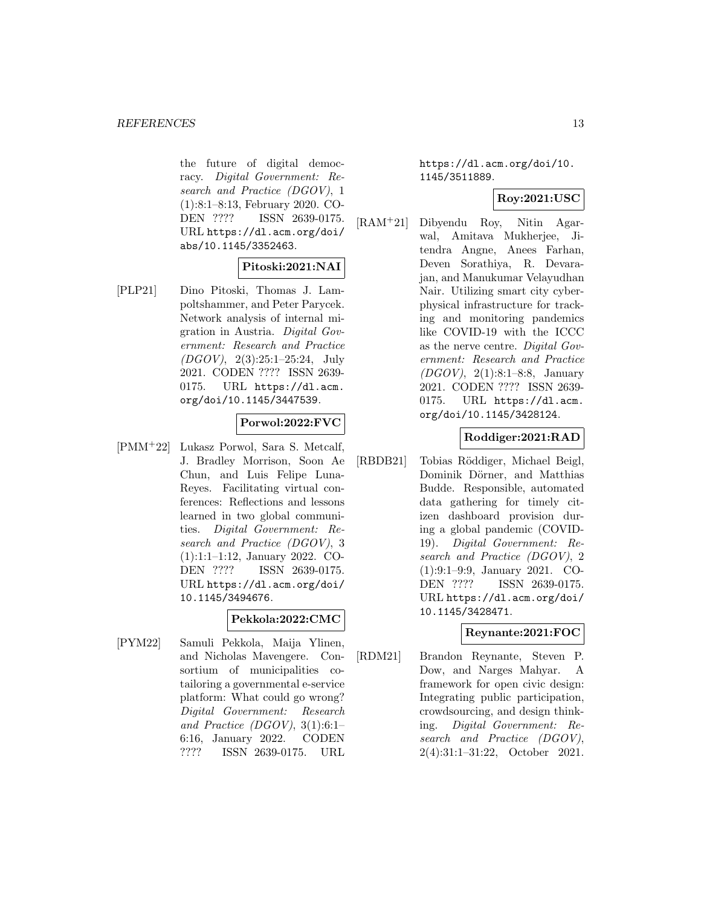the future of digital democracy. Digital Government: Research and Practice (DGOV), 1 (1):8:1–8:13, February 2020. CO-DEN ???? ISSN 2639-0175. URL https://dl.acm.org/doi/ abs/10.1145/3352463.

## **Pitoski:2021:NAI**

[PLP21] Dino Pitoski, Thomas J. Lampoltshammer, and Peter Parycek. Network analysis of internal migration in Austria. Digital Government: Research and Practice (DGOV), 2(3):25:1–25:24, July 2021. CODEN ???? ISSN 2639- 0175. URL https://dl.acm. org/doi/10.1145/3447539.

## **Porwol:2022:FVC**

[PMM<sup>+</sup>22] Lukasz Porwol, Sara S. Metcalf, J. Bradley Morrison, Soon Ae Chun, and Luis Felipe Luna-Reyes. Facilitating virtual conferences: Reflections and lessons learned in two global communities. Digital Government: Research and Practice (DGOV), 3 (1):1:1–1:12, January 2022. CO-DEN ???? ISSN 2639-0175. URL https://dl.acm.org/doi/ 10.1145/3494676.

#### **Pekkola:2022:CMC**

[PYM22] Samuli Pekkola, Maija Ylinen, and Nicholas Mavengere. Consortium of municipalities cotailoring a governmental e-service platform: What could go wrong? Digital Government: Research and Practice (DGOV),  $3(1):6:1-$ 6:16, January 2022. CODEN ???? ISSN 2639-0175. URL

https://dl.acm.org/doi/10. 1145/3511889.

## **Roy:2021:USC**

[RAM<sup>+</sup>21] Dibyendu Roy, Nitin Agarwal, Amitava Mukherjee, Jitendra Angne, Anees Farhan, Deven Sorathiya, R. Devarajan, and Manukumar Velayudhan Nair. Utilizing smart city cyberphysical infrastructure for tracking and monitoring pandemics like COVID-19 with the ICCC as the nerve centre. Digital Government: Research and Practice (DGOV), 2(1):8:1–8:8, January 2021. CODEN ???? ISSN 2639- 0175. URL https://dl.acm. org/doi/10.1145/3428124.

#### **Roddiger:2021:RAD**

[RBDB21] Tobias Röddiger, Michael Beigl, Dominik Dörner, and Matthias Budde. Responsible, automated data gathering for timely citizen dashboard provision during a global pandemic (COVID-19). Digital Government: Research and Practice (DGOV), 2 (1):9:1–9:9, January 2021. CO-DEN ???? ISSN 2639-0175. URL https://dl.acm.org/doi/ 10.1145/3428471.

## **Reynante:2021:FOC**

[RDM21] Brandon Reynante, Steven P. Dow, and Narges Mahyar. A framework for open civic design: Integrating public participation, crowdsourcing, and design thinking. Digital Government: Research and Practice (DGOV), 2(4):31:1–31:22, October 2021.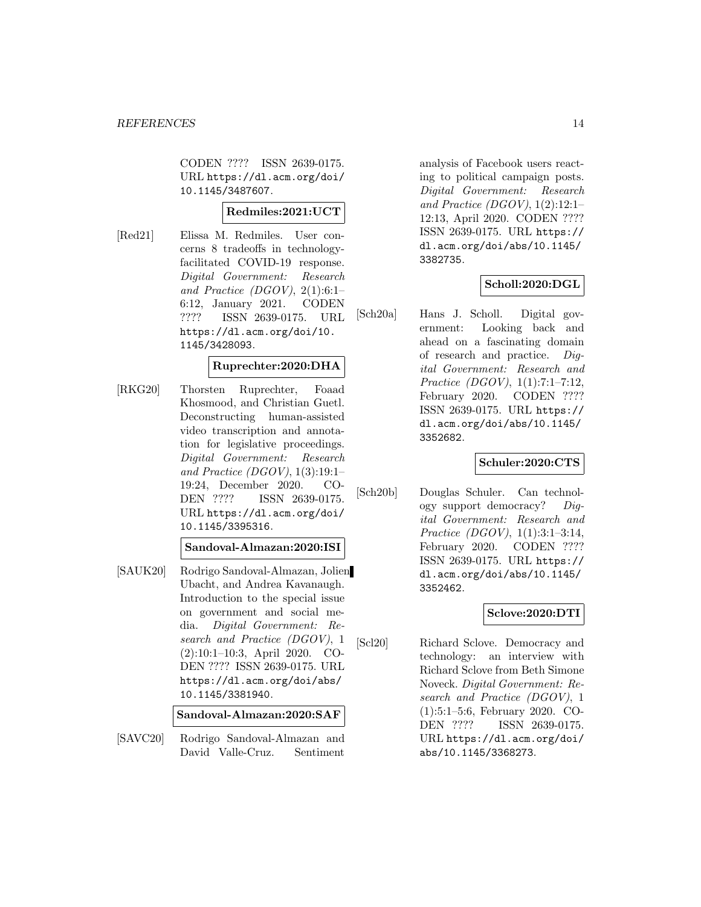CODEN ???? ISSN 2639-0175. URL https://dl.acm.org/doi/ 10.1145/3487607.

## **Redmiles:2021:UCT**

[Red21] Elissa M. Redmiles. User concerns 8 tradeoffs in technologyfacilitated COVID-19 response. Digital Government: Research and Practice (DGOV),  $2(1):6:1-$ 6:12, January 2021. CODEN ???? ISSN 2639-0175. URL https://dl.acm.org/doi/10. 1145/3428093.

#### **Ruprechter:2020:DHA**

[RKG20] Thorsten Ruprechter, Foaad Khosmood, and Christian Guetl. Deconstructing human-assisted video transcription and annotation for legislative proceedings. Digital Government: Research and Practice (DGOV), 1(3):19:1– 19:24, December 2020. CO-DEN ???? ISSN 2639-0175. URL https://dl.acm.org/doi/ 10.1145/3395316.

## **Sandoval-Almazan:2020:ISI**

[SAUK20] Rodrigo Sandoval-Almazan, Jolien Ubacht, and Andrea Kavanaugh. Introduction to the special issue on government and social media. Digital Government: Research and Practice (DGOV), 1 (2):10:1–10:3, April 2020. CO-DEN ???? ISSN 2639-0175. URL https://dl.acm.org/doi/abs/ 10.1145/3381940.

**Sandoval-Almazan:2020:SAF**

[SAVC20] Rodrigo Sandoval-Almazan and David Valle-Cruz. Sentiment

analysis of Facebook users reacting to political campaign posts. Digital Government: Research and Practice (DGOV),  $1(2):12:1-$ 12:13, April 2020. CODEN ???? ISSN 2639-0175. URL https:// dl.acm.org/doi/abs/10.1145/ 3382735.

## **Scholl:2020:DGL**

[Sch20a] Hans J. Scholl. Digital government: Looking back and ahead on a fascinating domain of research and practice. Digital Government: Research and Practice (DGOV), 1(1):7:1–7:12, February 2020. CODEN ???? ISSN 2639-0175. URL https:// dl.acm.org/doi/abs/10.1145/ 3352682.

#### **Schuler:2020:CTS**

[Sch20b] Douglas Schuler. Can technology support democracy? Digital Government: Research and Practice (DGOV), 1(1):3:1–3:14, February 2020. CODEN ???? ISSN 2639-0175. URL https:// dl.acm.org/doi/abs/10.1145/ 3352462.

#### **Sclove:2020:DTI**

[Scl20] Richard Sclove. Democracy and technology: an interview with Richard Sclove from Beth Simone Noveck. Digital Government: Research and Practice (DGOV), 1 (1):5:1–5:6, February 2020. CO-DEN ???? ISSN 2639-0175. URL https://dl.acm.org/doi/ abs/10.1145/3368273.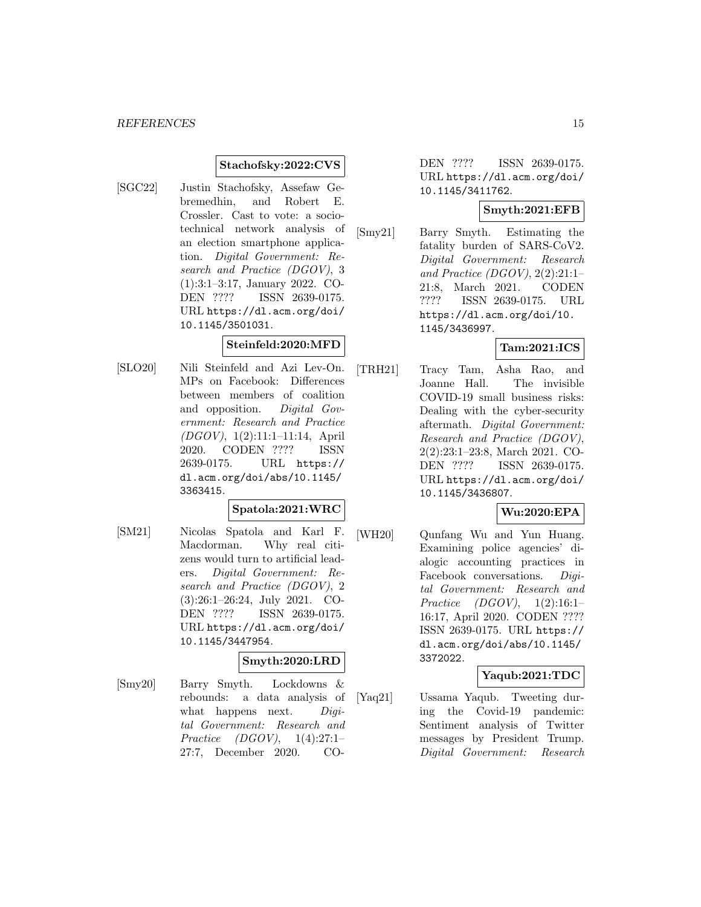#### **Stachofsky:2022:CVS**

[SGC22] Justin Stachofsky, Assefaw Gebremedhin, and Robert E. Crossler. Cast to vote: a sociotechnical network analysis of an election smartphone application. Digital Government: Research and Practice (DGOV), 3 (1):3:1–3:17, January 2022. CO-DEN ???? ISSN 2639-0175. URL https://dl.acm.org/doi/ 10.1145/3501031.

#### **Steinfeld:2020:MFD**

[SLO20] Nili Steinfeld and Azi Lev-On. MPs on Facebook: Differences between members of coalition and opposition. Digital Government: Research and Practice (DGOV), 1(2):11:1–11:14, April 2020. CODEN ???? ISSN 2639-0175. URL https:// dl.acm.org/doi/abs/10.1145/ 3363415.

## **Spatola:2021:WRC**

[SM21] Nicolas Spatola and Karl F. Macdorman. Why real citizens would turn to artificial leaders. Digital Government: Research and Practice (DGOV), 2 (3):26:1–26:24, July 2021. CO-DEN ???? ISSN 2639-0175. URL https://dl.acm.org/doi/ 10.1145/3447954.

## **Smyth:2020:LRD**

[Smy20] Barry Smyth. Lockdowns & rebounds: a data analysis of what happens next. *Digi*tal Government: Research and Practice (DGOV), 1(4):27:1– 27:7, December 2020. CO-

DEN ???? ISSN 2639-0175. URL https://dl.acm.org/doi/ 10.1145/3411762.

#### **Smyth:2021:EFB**

[Smy21] Barry Smyth. Estimating the fatality burden of SARS-CoV2. Digital Government: Research and Practice (DGOV), 2(2):21:1– 21:8, March 2021. CODEN ???? ISSN 2639-0175. URL https://dl.acm.org/doi/10. 1145/3436997.

#### **Tam:2021:ICS**

[TRH21] Tracy Tam, Asha Rao, and Joanne Hall. The invisible COVID-19 small business risks: Dealing with the cyber-security aftermath. Digital Government: Research and Practice (DGOV), 2(2):23:1–23:8, March 2021. CO-DEN ???? ISSN 2639-0175. URL https://dl.acm.org/doi/ 10.1145/3436807.

## **Wu:2020:EPA**

[WH20] Qunfang Wu and Yun Huang. Examining police agencies' dialogic accounting practices in Facebook conversations. Digital Government: Research and Practice (DGOV), 1(2):16:1– 16:17, April 2020. CODEN ???? ISSN 2639-0175. URL https:// dl.acm.org/doi/abs/10.1145/ 3372022.

#### **Yaqub:2021:TDC**

[Yaq21] Ussama Yaqub. Tweeting during the Covid-19 pandemic: Sentiment analysis of Twitter messages by President Trump. Digital Government: Research